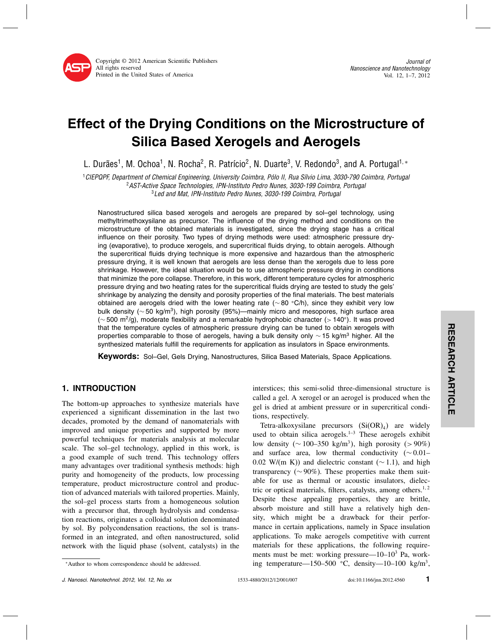

Journal of Nanoscience and Nanotechnology Vol. 12, 1–7, 2012

# Effect of the Drying Conditions on the Microstructure of Silica Based Xerogels and Aerogels

L. Durães<sup>1</sup>, M. Ochoa<sup>1</sup>, N. Rocha<sup>2</sup>, R. Patrício<sup>2</sup>, N. Duarte<sup>3</sup>, V. Redondo<sup>3</sup>, and A. Portugal<sup>1,</sup> \*

<sup>1</sup>CIEPQPF, Department of Chemical Engineering, University Coimbra, Pólo II, Rua Sílvio Lima, 3030-790 Coimbra, Portugal <sup>2</sup>AST-Active Space Technologies, IPN-Instituto Pedro Nunes, 3030-199 Coimbra, Portugal

<sup>3</sup>Led and Mat, IPN-Instituto Pedro Nunes, 3030-199 Coimbra, Portugal

Nanostructured silica based xerogels and aerogels are prepared by sol–gel technology, using methyltrimethoxysilane as precursor. The influence of the drying method and conditions on the microstructure of the obtained materials is investigated, since the drying stage has a critical influence on their porosity. Two types of drying methods were used: atmospheric pressure drying (evaporative), to produce xerogels, and supercritical fluids drying, to obtain aerogels. Although the supercritical fluids drying technique is more expensive and hazardous than the atmospheric pressure drying, it is well known that aerogels are less dense than the xerogels due to less pore shrinkage. However, the ideal situation would be to use atmospheric pressure drying in conditions that minimize the pore collapse. Therefore, in this work, different temperature cycles for atmospheric pressure drying and two heating rates for the supercritical fluids drying are tested to study the gels' shrinkage by analyzing the density and porosity properties of the final materials. The best materials obtained are aerogels dried with the lower heating rate (∼80 °C/h), since they exhibit very low bulk density (~50 kg/m<sup>3</sup>), high porosity (95%)—mainly micro and mesopores, high surface area ( $\sim$  500 m<sup>2</sup>/g), moderate flexibility and a remarkable hydrophobic character (> 140°). It was proved that the temperature cycles of atmospheric pressure drying can be tuned to obtain xerogels with properties comparable to those of aerogels, having a bulk density only ~ 15 kg/m<sup>3</sup> higher. All the synthesized materials fulfill the requirements for application as insulators in Space environments.

Keywords: Sol–Gel, Gels Drying, Nanostructures, Silica Based Materials, Space Applications.

# 1. INTRODUCTION

The bottom-up approaches to synthesize materials have experienced a significant dissemination in the last two decades, promoted by the demand of nanomaterials with improved and unique properties and supported by more powerful techniques for materials analysis at molecular scale. The sol–gel technology, applied in this work, is a good example of such trend. This technology offers many advantages over traditional synthesis methods: high purity and homogeneity of the products, low processing temperature, product microstructure control and production of advanced materials with tailored properties. Mainly, the sol–gel process starts from a homogeneous solution with a precursor that, through hydrolysis and condensation reactions, originates a colloidal solution denominated by sol. By polycondensation reactions, the sol is transformed in an integrated, and often nanostructured, solid network with the liquid phase (solvent, catalysts) in the

<sup>∗</sup>Author to whom correspondence should be addressed.

interstices; this semi-solid three-dimensional structure is called a gel. A xerogel or an aerogel is produced when the gel is dried at ambient pressure or in supercritical conditions, respectively.

Tetra-alkoxysilane precursors  $(Si(OR)_4)$  are widely used to obtain silica aerogels.<sup>1-3</sup> These aerogels exhibit low density (~100–350 kg/m<sup>3</sup>), high porosity (>90%) and surface area, low thermal conductivity (∼ 0.01– 0.02 W/(m K)) and dielectric constant ( $\sim$  1.1), and high transparency ( $\sim$  90%). These properties make them suitable for use as thermal or acoustic insulators, dielectric or optical materials, filters, catalysts, among others.<sup>1,2</sup> Despite these appealing properties, they are brittle, absorb moisture and still have a relatively high density, which might be a drawback for their performance in certain applications, namely in Space insulation applications. To make aerogels competitive with current materials for these applications, the following requirements must be met: working pressure— $10-10^3$  Pa, working temperature—150–500 °C, density—10–100 kg/m<sup>3</sup>,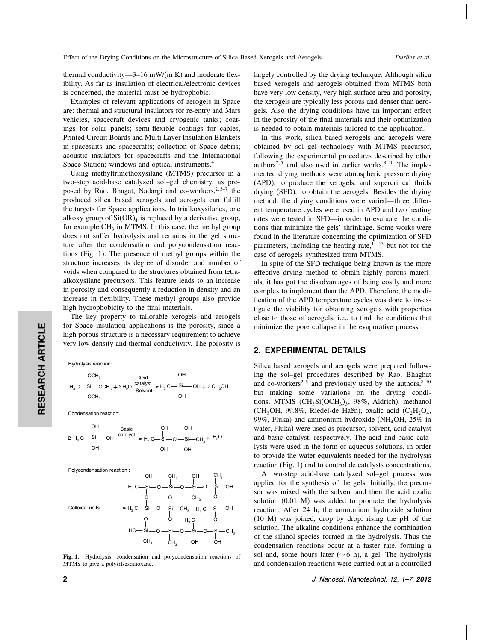thermal conductivity—3–16 mW/(m K) and moderate flexibility. As far as insulation of electrical/electronic devices is concerned, the material must be hydrophobic.

Examples of relevant applications of aerogels in Space are: thermal and structural insulators for re-entry and Mars vehicles, spacecraft devices and cryogenic tanks; coatings for solar panels; semi-flexible coatings for cables, Printed Circuit Boards and Multi Layer Insulation Blankets in spacesuits and spacecrafts; collection of Space debris; acoustic insulators for spacecrafts and the International Space Station; windows and optical instruments.4

Using methyltrimethoxysilane (MTMS) precursor in a two-step acid-base catalyzed sol–gel chemistry, as proposed by Rao, Bhagat, Nadargi and co-workers, $2.5-7$  the produced silica based xerogels and aerogels can fulfill the targets for Space applications. In trialkoxysilanes, one alkoxy group of  $Si(OR)<sub>4</sub>$  is replaced by a derivative group, for example  $CH<sub>3</sub>$  in MTMS. In this case, the methyl group does not suffer hydrolysis and remains in the gel structure after the condensation and polycondensation reactions (Fig. 1). The presence of methyl groups within the structure increases its degree of disorder and number of voids when compared to the structures obtained from tetraalkoxysilane precursors. This feature leads to an increase in porosity and consequently a reduction in density and an increase in flexibility. These methyl groups also provide high hydrophobicity to the final materials.

The key property to tailorable xerogels and aerogels for Space insulation applications is the porosity, since a high porous structure is a necessary requirement to achieve very low density and thermal conductivity. The porosity is

Hydrolysis reaction:



Condensation reaction:







Fig. 1. Hydrolysis, condensation and polycondensation reactions of MTMS to give a polysilsesquioxane.

largely controlled by the drying technique. Although silica based xerogels and aerogels obtained from MTMS both have very low density, very high surface area and porosity, the xerogels are typically less porous and denser than aerogels. Also the drying conditions have an important effect in the porosity of the final materials and their optimization is needed to obtain materials tailored to the application.

In this work, silica based xerogels and aerogels were obtained by sol–gel technology with MTMS precursor, following the experimental procedures described by other authors<sup>2,5</sup> and also used in earlier works. $8-10$  The implemented drying methods were atmospheric pressure drying (APD), to produce the xerogels, and supercritical fluids drying (SFD), to obtain the aerogels. Besides the drying method, the drying conditions were varied—three different temperature cycles were used in APD and two heating rates were tested in SFD—in order to evaluate the conditions that minimize the gels' shrinkage. Some works were found in the literature concerning the optimization of SFD parameters, including the heating rate, $11-13$  but not for the case of aerogels synthesized from MTMS.

In spite of the SFD technique being known as the more effective drying method to obtain highly porous materials, it has got the disadvantages of being costly and more complex to implement than the APD. Therefore, the modification of the APD temperature cycles was done to investigate the viability for obtaining xerogels with properties close to those of aerogels, i.e., to find the conditions that minimize the pore collapse in the evaporative process.

# 2. EXPERIMENTAL DETAILS

Silica based xerogels and aerogels were prepared following the sol–gel procedures described by Rao, Bhaghat and co-workers<sup>2,5</sup> and previously used by the authors, $8-10$ but making some variations on the drying conditions. MTMS (CH<sub>3</sub>Si(OCH<sub>3</sub>)<sub>3</sub>, 98%, Aldrich), methanol (CH<sub>3</sub>OH, 99.8%, Riedel-de Haën), oxalic acid (C<sub>2</sub>H<sub>2</sub>O<sub>4</sub>, 99%, Fluka) and ammonium hydroxide (NH<sub>4</sub>OH,  $25\%$  in water, Fluka) were used as precursor, solvent, acid catalyst and basic catalyst, respectively. The acid and basic catalysts were used in the form of aqueous solutions, in order to provide the water equivalents needed for the hydrolysis reaction (Fig. 1) and to control de catalysts concentrations.

A two-step acid-base catalyzed sol–gel process was applied for the synthesis of the gels. Initially, the precursor was mixed with the solvent and then the acid oxalic solution (0.01 M) was added to promote the hydrolysis reaction. After 24 h, the ammonium hydroxide solution (10 M) was joined, drop by drop, rising the pH of the solution. The alkaline conditions enhance the combination of the silanol species formed in the hydrolysis. Thus the condensation reactions occur at a faster rate, forming a sol and, some hours later ( $∼ 6$  h), a gel. The hydrolysis and condensation reactions were carried out at a controlled

2 J. Nanosci. Nanotechnol. 12, 1–7, 2012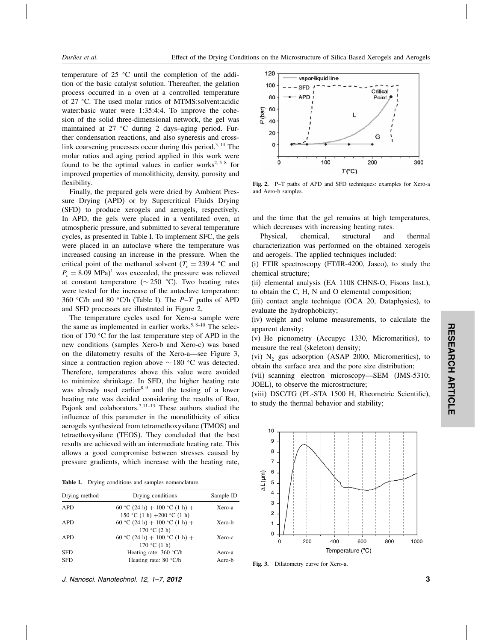temperature of  $25 \text{ °C}$  until the completion of the addition of the basic catalyst solution. Thereafter, the gelation process occurred in a oven at a controlled temperature of 27 °C. The used molar ratios of MTMS:solvent:acidic water:basic water were 1:35:4:4. To improve the cohesion of the solid three-dimensional network, the gel was maintained at  $27$  °C during 2 days-aging period. Further condensation reactions, and also syneresis and crosslink coarsening processes occur during this period.<sup>3, 14</sup> The molar ratios and aging period applied in this work were found to be the optimal values in earlier works<sup>2,5-8</sup> for improved properties of monolithicity, density, porosity and flexibility.

Finally, the prepared gels were dried by Ambient Pressure Drying (APD) or by Supercritical Fluids Drying (SFD) to produce xerogels and aerogels, respectively. In APD, the gels were placed in a ventilated oven, at atmospheric pressure, and submitted to several temperature cycles, as presented in Table I. To implement SFC, the gels were placed in an autoclave where the temperature was increased causing an increase in the pressure. When the critical point of the methanol solvent ( $T_c = 239.4$  °C and  $P_c = 8.09 \text{ MPa}$ <sup>1</sup> was exceeded, the pressure was relieved at constant temperature ( $\sim$  250 °C). Two heating rates were tested for the increase of the autoclave temperature: 360 °C/h and 80 °C/h (Table I). The  $P-T$  paths of APD and SFD processes are illustrated in Figure 2.

The temperature cycles used for Xero-a sample were the same as implemented in earlier works.<sup>5, 8–10</sup> The selection of 170  $\degree$ C for the last temperature step of APD in the new conditions (samples Xero-b and Xero-c) was based on the dilatometry results of the Xero-a—see Figure 3, since a contraction region above  $\sim$  180 °C was detected. Therefore, temperatures above this value were avoided to minimize shrinkage. In SFD, the higher heating rate was already used earlier $8,9$  and the testing of a lower heating rate was decided considering the results of Rao, Pajonk and colaborators.<sup>7,11-13</sup> These authors studied the influence of this parameter in the monolithicity of silica aerogels synthesized from tetramethoxysilane (TMOS) and tetraethoxysilane (TEOS). They concluded that the best results are achieved with an intermediate heating rate. This allows a good compromise between stresses caused by pressure gradients, which increase with the heating rate,



| Drying method | Drying conditions                                           | Sample ID<br>Xero-a |  |
|---------------|-------------------------------------------------------------|---------------------|--|
| <b>APD</b>    | 60 °C (24 h) + 100 °C (1 h) +<br>150 °C (1 h) +200 °C (1 h) |                     |  |
| <b>APD</b>    | 60 °C (24 h) + 100 °C (1 h) +                               | Xero-b              |  |
| <b>APD</b>    | 170 °C $(2 h)$<br>60 °C (24 h) + 100 °C (1 h) +             | Xero-c              |  |
|               | 170 °C $(1 h)$                                              |                     |  |
| <b>SFD</b>    | Heating rate: 360 °C/h                                      | Aero-a              |  |
| <b>SFD</b>    | Heating rate: 80 °C/h                                       | Aero-b              |  |

120 vapor-liquid line 100 SFD Critical **APD** 80 Point P(bar) 60 L 40 20 G  $\mathbf 0$ 100 200 300  $\overline{0}$  $T(^{\circ}C)$ 

Fig. 2. P–T paths of APD and SFD techniques: examples for Xero-a and Aero-b samples.

and the time that the gel remains at high temperatures, which decreases with increasing heating rates.

Physical, chemical, structural and thermal characterization was performed on the obtained xerogels and aerogels. The applied techniques included:

(i) FTIR spectroscopy (FT/IR-4200, Jasco), to study the chemical structure;

(ii) elemental analysis (EA 1108 CHNS-O, Fisons Inst.), to obtain the C, H, N and O elemental composition;

(iii) contact angle technique (OCA 20, Dataphysics), to evaluate the hydrophobicity;

(iv) weight and volume measurements, to calculate the apparent density;

(v) He picnometry (Accupyc 1330, Micromeritics), to measure the real (skeleton) density;

(vi)  $N_2$  gas adsorption (ASAP 2000, Micromeritics), to obtain the surface area and the pore size distribution;

(vii) scanning electron microscopy—SEM (JMS-5310; JOEL), to observe the microstructure;

(viii) DSC/TG (PL-STA 1500 H, Rheometric Scientific), to study the thermal behavior and stability;



Fig. 3. Dilatometry curve for Xero-a.

J. Nanosci. Nanotechnol. 12, 1–7, 2012 3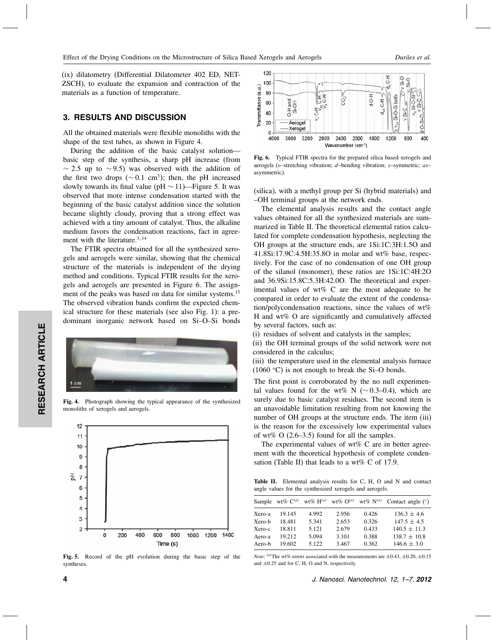(ix) dilatometry (Differential Dilatometer 402 ED, NET-ZSCH), to evaluate the expansion and contraction of the materials as a function of temperature.

### 3. RESULTS AND DISCUSSION

All the obtained materials were flexible monoliths with the shape of the test tubes, as shown in Figure 4.

During the addition of the basic catalyst solution basic step of the synthesis, a sharp pH increase (from  $\sim$  2.5 up to  $\sim$  9.5) was observed with the addition of the first two drops ( $\sim$  0.1 cm<sup>3</sup>); then, the pH increased slowly towards its final value (pH  $\sim$  11)—Figure 5. It was observed that more intense condensation started with the beginning of the basic catalyst addition since the solution became slightly cloudy, proving that a strong effect was achieved with a tiny amount of catalyst. Thus, the alkaline medium favors the condensation reactions, fact in agreement with the literature.<sup>3, 14</sup>

The FTIR spectra obtained for all the synthesized xerogels and aerogels were similar, showing that the chemical structure of the materials is independent of the drying method and conditions. Typical FTIR results for the xerogels and aerogels are presented in Figure 6. The assignment of the peaks was based on data for similar systems.15 The observed vibration bands confirm the expected chemical structure for these materials (see also Fig. 1): a predominant inorganic network based on Si–O–Si bonds



Fig. 4. Photograph showing the typical appearance of the synthesized monoliths of xerogels and aerogels.



Fig. 5. Record of the pH evolution during the basic step of the syntheses.



Fig. 6. Typical FTIR spectra for the prepared silica based xerogels and aerogels (v–stretching vibration; d–bending vibration; s–symmetric; as– asymmetric).

(silica), with a methyl group per Si (hybrid materials) and –OH terminal groups at the network ends.

The elemental analysis results and the contact angle values obtained for all the synthesized materials are summarized in Table II. The theoretical elemental ratios calculated for complete condensation hypothesis, neglecting the OH groups at the structure ends, are 1Si:1C:3H:1.5O and 41.8Si:17.9C:4.5H:35.8O in molar and wt% base, respectively. For the case of no condensation of one OH group of the silanol (monomer), these ratios are 1Si:1C:4H:2O and 36.9Si:15.8C:5.3H:42.0O. The theoretical and experimental values of wt% C are the most adequate to be compared in order to evaluate the extent of the condensation/polycondensation reactions, since the values of wt% H and wt% O are significantly and cumulatively affected by several factors, such as:

(i) residues of solvent and catalysts in the samples;

(ii) the OH terminal groups of the solid network were not considered in the calculus;

(iii) the temperature used in the elemental analysis furnace  $(1060 \degree C)$  is not enough to break the Si–O bonds.

The first point is corroborated by the no null experimental values found for the wt% N ( $\sim$  0.3–0.4), which are surely due to basic catalyst residues. The second item is an unavoidable limitation resulting from not knowing the number of OH groups at the structure ends. The item (iii) is the reason for the excessively low experimental values of wt% O  $(2.6-3.5)$  found for all the samples.

The experimental values of  $wt\%$  C are in better agreement with the theoretical hypothesis of complete condensation (Table II) that leads to a wt% C of 17.9.

Table II. Elemental analysis results for C, H, O and N and contact angle values for the synthesized xerogels and aerogels.

|        |        |       |       |       | Sample wt% $C^{(a)}$ wt% $H^{(a)}$ wt% $O^{(a)}$ wt% $N^{(a)}$ Contact angle (°) |
|--------|--------|-------|-------|-------|----------------------------------------------------------------------------------|
| Xero-a | 19.145 | 4.992 | 2.956 | 0.426 | $136.3 \pm 4.6$                                                                  |
| Xero-b | 18481  | 5.341 | 2.653 | 0.326 | $147.5 \pm 4.5$                                                                  |
| Xero-c | 18.811 | 5.121 | 2.679 | 0.433 | $140.5 \pm 11.3$                                                                 |
| Aero-a | 19.212 | 5.094 | 3.101 | 0.388 | $138.7 \pm 10.8$                                                                 |
| Aero-b | 19.602 | 5.122 | 3.467 | 0.362 | $146.6 \pm 3.0$                                                                  |

*Note*: <sup>(a)</sup> The wt% errors associated with the measurements are  $\pm 0.43$ ,  $\pm 0.20$ ,  $\pm 0.15$ and ±0.25 and for C, H, O and N, respectively.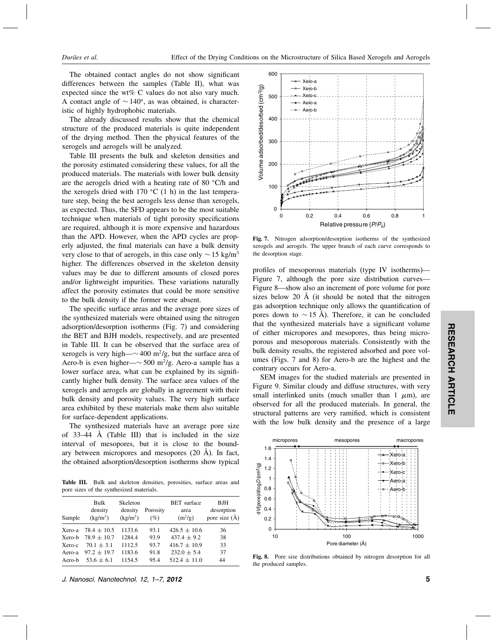The obtained contact angles do not show significant differences between the samples (Table II), what was expected since the wt% C values do not also vary much. A contact angle of  $\sim 140^{\circ}$ , as was obtained, is characteristic of highly hydrophobic materials.

The already discussed results show that the chemical structure of the produced materials is quite independent of the drying method. Then the physical features of the xerogels and aerogels will be analyzed.

Table III presents the bulk and skeleton densities and the porosity estimated considering these values, for all the produced materials. The materials with lower bulk density are the aerogels dried with a heating rate of 80 °C/h and the xerogels dried with 170  $\degree$ C (1 h) in the last temperature step, being the best aerogels less dense than xerogels, as expected. Thus, the SFD appears to be the most suitable technique when materials of tight porosity specifications are required, although it is more expensive and hazardous than the APD. However, when the APD cycles are properly adjusted, the final materials can have a bulk density very close to that of aerogels, in this case only  $\sim$  15 kg/m<sup>3</sup> higher. The differences observed in the skeleton density values may be due to different amounts of closed pores and/or lightweight impurities. These variations naturally affect the porosity estimates that could be more sensitive to the bulk density if the former were absent.

The specific surface areas and the average pore sizes of the synthesized materials were obtained using the nitrogen adsorption/desorption isotherms (Fig. 7) and considering the BET and BJH models, respectively, and are presented in Table III. It can be observed that the surface area of xerogels is very high— $\sim$  400 m<sup>2</sup>/g, but the surface area of Aero-b is even higher— $\sim$  500 m<sup>2</sup>/g. Aero-a sample has a lower surface area, what can be explained by its significantly higher bulk density. The surface area values of the xerogels and aerogels are globally in agreement with their bulk density and porosity values. The very high surface area exhibited by these materials make them also suitable for surface-dependent applications.

The synthesized materials have an average pore size of  $33-44$  Å (Table III) that is included in the size interval of mesopores, but it is close to the boundary between micropores and mesopores (20 Å). In fact, the obtained adsorption/desorption isotherms show typical

Table III. Bulk and skeleton densities, porosities, surface areas and pore sizes of the synthesized materials.

| Sample | Bulk<br>density<br>$(kg/m^3)$ | Skeleton<br>density<br>$(kg/m^3)$ | Porosity<br>(%) | <b>BET</b> surface<br>area<br>$(m^2/g)$ | BJH<br>desorption<br>pore size $(A)$ |
|--------|-------------------------------|-----------------------------------|-----------------|-----------------------------------------|--------------------------------------|
| Xero-a | $78.4 \pm 10.5$               | 1133.6                            | 93.1            | $426.5 \pm 10.6$                        | 36                                   |
| Xero-b | $78.9 \pm 10.7$               | 1284.4                            | 93.9            | $437.4 \pm 9.2$                         | 38                                   |
| Xero-c | $70.1 \pm 3.1$                | 1112.5                            | 93.7            | $416.7 \pm 10.9$                        | 33                                   |
| Aero-a | $97.2 \pm 19.7$               | 1183.6                            | 91.8            | $232.0 \pm 5.4$                         | 37                                   |
| Aero-b | $53.6 \pm 6.1$                | 1154.5                            | 95.4            | $512.4 \pm 11.0$                        | 44                                   |
|        |                               |                                   |                 |                                         |                                      |

J. Nanosci. Nanotechnol. 12, 1–7, 2012 5



Fig. 7. Nitrogen adsorption/desorption isotherms of the synthesized xerogels and aerogels. The upper branch of each curve corresponds to the desorption stage.

profiles of mesoporous materials (type IV isotherms)— Figure 7, although the pore size distribution curves— Figure 8—show also an increment of pore volume for pore sizes below 20 Å (it should be noted that the nitrogen gas adsorption technique only allows the quantification of pores down to  $\sim$  15 Å). Therefore, it can be concluded that the synthesized materials have a significant volume of either micropores and mesopores, thus being microporous and mesoporous materials. Consistently with the bulk density results, the registered adsorbed and pore volumes (Figs. 7 and 8) for Aero-b are the highest and the contrary occurs for Aero-a.

SEM images for the studied materials are presented in Figure 9. Similar cloudy and diffuse structures, with very small interlinked units (much smaller than  $1 \mu m$ ), are observed for all the produced materials. In general, the structural patterns are very ramified, which is consistent with the low bulk density and the presence of a large



Fig. 8. Pore size distributions obtained by nitrogen desorption for all the produced samples.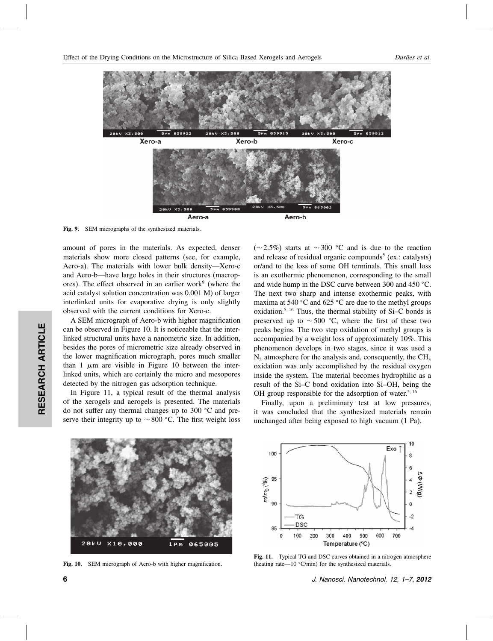Effect of the Drying Conditions on the Microstructure of Silica Based Xerogels and Aerogels *Durães et al.*



Fig. 9. SEM micrographs of the synthesized materials.

amount of pores in the materials. As expected, denser materials show more closed patterns (see, for example, Aero-a). The materials with lower bulk density—Xero-c and Aero-b—have large holes in their structures (macropores). The effect observed in an earlier work $9$  (where the acid catalyst solution concentration was 0.001 M) of larger interlinked units for evaporative drying is only slightly observed with the current conditions for Xero-c.

A SEM micrograph of Aero-b with higher magnification can be observed in Figure 10. It is noticeable that the interlinked structural units have a nanometric size. In addition, besides the pores of micrometric size already observed in the lower magnification micrograph, pores much smaller than 1  $\mu$ m are visible in Figure 10 between the interlinked units, which are certainly the micro and mesopores detected by the nitrogen gas adsorption technique.

In Figure 11, a typical result of the thermal analysis of the xerogels and aerogels is presented. The materials do not suffer any thermal changes up to 300 °C and preserve their integrity up to  $\sim 800$  °C. The first weight loss

(∼2.5%) starts at ∼300 °C and is due to the reaction and release of residual organic compounds<sup>5</sup> (ex.: catalysts) or/and to the loss of some OH terminals. This small loss is an exothermic phenomenon, corresponding to the small and wide hump in the DSC curve between 300 and 450 °C. The next two sharp and intense exothermic peaks, with maxima at 540  $\degree$ C and 625  $\degree$ C are due to the methyl groups oxidation.5 <sup>16</sup> Thus, the thermal stability of Si–C bonds is preserved up to  $\sim$  500 °C, where the first of these two peaks begins. The two step oxidation of methyl groups is accompanied by a weight loss of approximately 10%. This phenomenon develops in two stages, since it was used a  $N<sub>2</sub>$  atmosphere for the analysis and, consequently, the CH<sub>3</sub> oxidation was only accomplished by the residual oxygen inside the system. The material becomes hydrophilic as a result of the Si–C bond oxidation into Si–OH, being the OH group responsible for the adsorption of water.<sup>5, 16</sup>

Finally, upon a preliminary test at low pressures, it was concluded that the synthesized materials remain unchanged after being exposed to high vacuum (1 Pa).



Fig. 10. SEM micrograph of Aero-b with higher magnification.



Fig. 11. Typical TG and DSC curves obtained in a nitrogen atmosphere (heating rate—10  $°C/min$ ) for the synthesized materials.

6 J. Nanosci. Nanotechnol. 12, 1–7, 2012